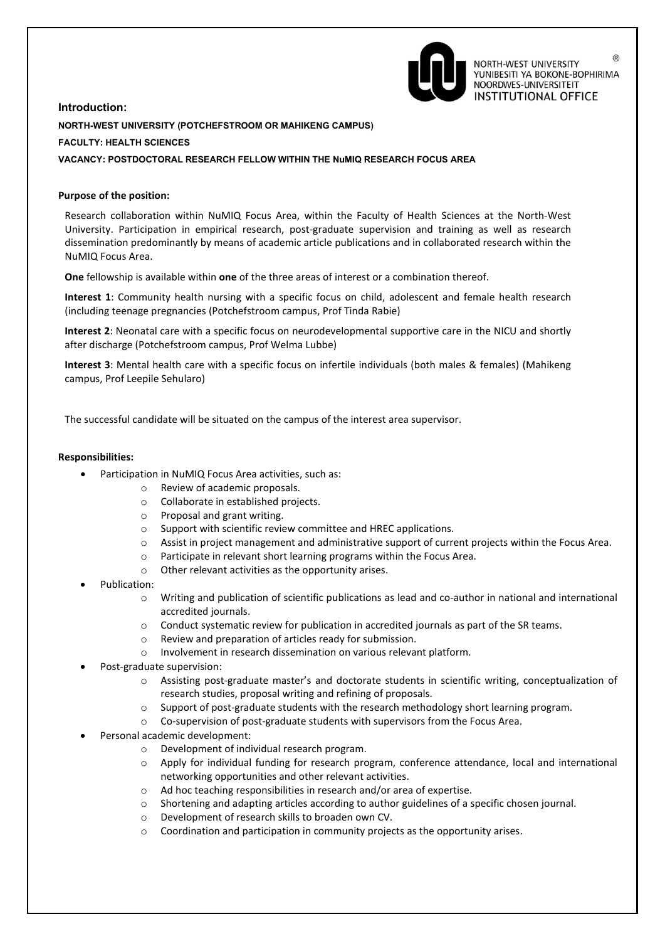

 $(\widehat{R})$ NORTH-WEST UNIVERSITY YUNIBESITI YA BOKONE-BOPHIRIMA NOORDWES-UNIVERSITEIT **INSTITUTIONAL OFFICE** 

# **Introduction: NORTH-WEST UNIVERSITY (POTCHEFSTROOM OR MAHIKENG CAMPUS) FACULTY: HEALTH SCIENCES VACANCY: POSTDOCTORAL RESEARCH FELLOW WITHIN THE NuMIQ RESEARCH FOCUS AREA**

# **Purpose of the position:**

Research collaboration within NuMIQ Focus Area, within the Faculty of Health Sciences at the North-West University. Participation in empirical research, post-graduate supervision and training as well as research dissemination predominantly by means of academic article publications and in collaborated research within the NuMIQ Focus Area.

**One** fellowship is available within **one** of the three areas of interest or a combination thereof.

**Interest 1**: Community health nursing with a specific focus on child, adolescent and female health research (including teenage pregnancies (Potchefstroom campus, Prof Tinda Rabie)

**Interest 2**: Neonatal care with a specific focus on neurodevelopmental supportive care in the NICU and shortly after discharge (Potchefstroom campus, Prof Welma Lubbe)

**Interest 3**: Mental health care with a specific focus on infertile individuals (both males & females) (Mahikeng campus, Prof Leepile Sehularo)

The successful candidate will be situated on the campus of the interest area supervisor.

#### **Responsibilities:**

- Participation in NuMIQ Focus Area activities, such as:
	- o Review of academic proposals.
	- o Collaborate in established projects.
	- o Proposal and grant writing.
	- o Support with scientific review committee and HREC applications.
	- o Assist in project management and administrative support of current projects within the Focus Area.
		- o Participate in relevant short learning programs within the Focus Area.
		- o Other relevant activities as the opportunity arises.
- Publication:
	- o Writing and publication of scientific publications as lead and co-author in national and international accredited journals.
	- o Conduct systematic review for publication in accredited journals as part of the SR teams.
	- o Review and preparation of articles ready for submission.
	- o Involvement in research dissemination on various relevant platform.
- Post-graduate supervision:
	- o Assisting post-graduate master's and doctorate students in scientific writing, conceptualization of research studies, proposal writing and refining of proposals.
	- Support of post-graduate students with the research methodology short learning program.
	- o Co-supervision of post-graduate students with supervisors from the Focus Area.
- Personal academic development:
	- o Development of individual research program.
	- o Apply for individual funding for research program, conference attendance, local and international networking opportunities and other relevant activities.
	- o Ad hoc teaching responsibilities in research and/or area of expertise.
	- $\circ$  Shortening and adapting articles according to author guidelines of a specific chosen journal.
	- o Development of research skills to broaden own CV.
	- o Coordination and participation in community projects as the opportunity arises.